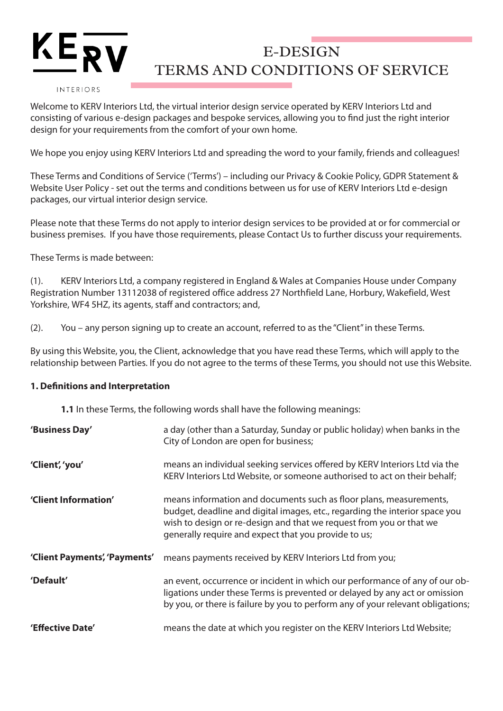#### INTERIORS

KE

Welcome to KERV Interiors Ltd, the virtual interior design service operated by KERV Interiors Ltd and consisting of various e-design packages and bespoke services, allowing you to find just the right interior design for your requirements from the comfort of your own home.

We hope you enjoy using KERV Interiors Ltd and spreading the word to your family, friends and colleagues!

These Terms and Conditions of Service ('Terms') – including our Privacy & Cookie Policy, GDPR Statement & Website User Policy - set out the terms and conditions between us for use of KERV Interiors Ltd e-design packages, our virtual interior design service.

Please note that these Terms do not apply to interior design services to be provided at or for commercial or business premises. If you have those requirements, please Contact Us to further discuss your requirements.

These Terms is made between:

(1). KERV Interiors Ltd, a company registered in England & Wales at Companies House under Company Registration Number 13112038 of registered office address 27 Northfield Lane, Horbury, Wakefield, West Yorkshire, WF4 5HZ, its agents, staff and contractors; and,

(2). You – any person signing up to create an account, referred to as the "Client" in these Terms.

By using this Website, you, the Client, acknowledge that you have read these Terms, which will apply to the relationship between Parties. If you do not agree to the terms of these Terms, you should not use this Website.

### **1. Definitions and Interpretation**

**1.1** In these Terms, the following words shall have the following meanings:

| 'Business Day'                | a day (other than a Saturday, Sunday or public holiday) when banks in the<br>City of London are open for business;                                                                                                                                                               |
|-------------------------------|----------------------------------------------------------------------------------------------------------------------------------------------------------------------------------------------------------------------------------------------------------------------------------|
| 'Client', 'you'               | means an individual seeking services offered by KERV Interiors Ltd via the<br>KERV Interiors Ltd Website, or someone authorised to act on their behalf;                                                                                                                          |
| 'Client Information'          | means information and documents such as floor plans, measurements,<br>budget, deadline and digital images, etc., regarding the interior space you<br>wish to design or re-design and that we request from you or that we<br>generally require and expect that you provide to us; |
| 'Client Payments', 'Payments' | means payments received by KERV Interiors Ltd from you;                                                                                                                                                                                                                          |
| 'Default'                     | an event, occurrence or incident in which our performance of any of our ob-<br>ligations under these Terms is prevented or delayed by any act or omission<br>by you, or there is failure by you to perform any of your relevant obligations;                                     |
| 'Effective Date'              | means the date at which you register on the KERV Interiors Ltd Website;                                                                                                                                                                                                          |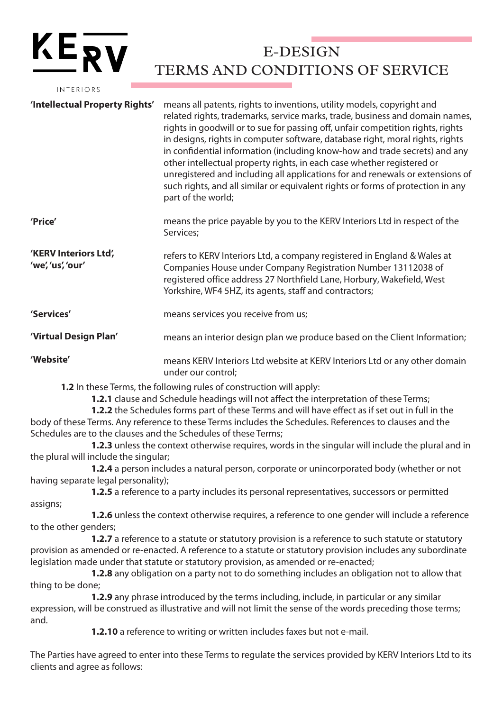| INTERIORS                                  |                                                                                                                                                                                                                                                                                                                                                                                                                                                                                                                                                                                                                                                                              |
|--------------------------------------------|------------------------------------------------------------------------------------------------------------------------------------------------------------------------------------------------------------------------------------------------------------------------------------------------------------------------------------------------------------------------------------------------------------------------------------------------------------------------------------------------------------------------------------------------------------------------------------------------------------------------------------------------------------------------------|
| 'Intellectual Property Rights'             | means all patents, rights to inventions, utility models, copyright and<br>related rights, trademarks, service marks, trade, business and domain names,<br>rights in goodwill or to sue for passing off, unfair competition rights, rights<br>in designs, rights in computer software, database right, moral rights, rights<br>in confidential information (including know-how and trade secrets) and any<br>other intellectual property rights, in each case whether registered or<br>unregistered and including all applications for and renewals or extensions of<br>such rights, and all similar or equivalent rights or forms of protection in any<br>part of the world; |
| 'Price'                                    | means the price payable by you to the KERV Interiors Ltd in respect of the<br>Services;                                                                                                                                                                                                                                                                                                                                                                                                                                                                                                                                                                                      |
| 'KERV Interiors Ltd',<br>'we', 'us', 'our' | refers to KERV Interiors Ltd, a company registered in England & Wales at<br>Companies House under Company Registration Number 13112038 of<br>registered office address 27 Northfield Lane, Horbury, Wakefield, West<br>Yorkshire, WF4 5HZ, its agents, staff and contractors;                                                                                                                                                                                                                                                                                                                                                                                                |
| 'Services'                                 | means services you receive from us;                                                                                                                                                                                                                                                                                                                                                                                                                                                                                                                                                                                                                                          |
| 'Virtual Design Plan'                      | means an interior design plan we produce based on the Client Information;                                                                                                                                                                                                                                                                                                                                                                                                                                                                                                                                                                                                    |
| 'Website'                                  | means KERV Interiors Ltd website at KERV Interiors Ltd or any other domain<br>under our control;                                                                                                                                                                                                                                                                                                                                                                                                                                                                                                                                                                             |
|                                            | 1.2 In these Terms, the following rules of construction will apply:                                                                                                                                                                                                                                                                                                                                                                                                                                                                                                                                                                                                          |

KERV

**1.2.1** clause and Schedule headings will not affect the interpretation of these Terms;

**1.2.2** the Schedules forms part of these Terms and will have effect as if set out in full in the body of these Terms. Any reference to these Terms includes the Schedules. References to clauses and the Schedules are to the clauses and the Schedules of these Terms;

**1.2.3** unless the context otherwise requires, words in the singular will include the plural and in the plural will include the singular;

**1.2.4** a person includes a natural person, corporate or unincorporated body (whether or not having separate legal personality);

**1.2.5** a reference to a party includes its personal representatives, successors or permitted assigns;

**1.2.6** unless the context otherwise requires, a reference to one gender will include a reference to the other genders;

**1.2.7** a reference to a statute or statutory provision is a reference to such statute or statutory provision as amended or re-enacted. A reference to a statute or statutory provision includes any subordinate legislation made under that statute or statutory provision, as amended or re-enacted;

**1.2.8** any obligation on a party not to do something includes an obligation not to allow that thing to be done;

**1.2.9** any phrase introduced by the terms including, include, in particular or any similar expression, will be construed as illustrative and will not limit the sense of the words preceding those terms; and.

**1.2.10** a reference to writing or written includes faxes but not e-mail.

The Parties have agreed to enter into these Terms to regulate the services provided by KERV Interiors Ltd to its clients and agree as follows: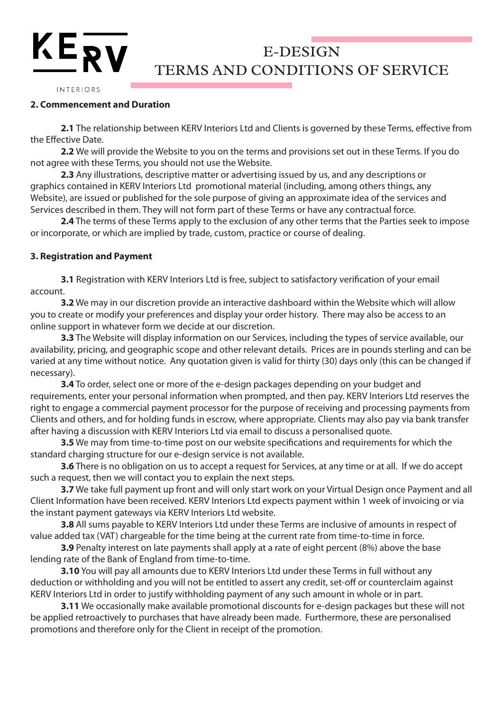#### INTERIORS

 $KE_{\overline{RV}}$ 

### **2. Commencement and Duration**

**2.1** The relationship between KERV Interiors Ltd and Clients is governed by these Terms, effective from the Effective Date.

**2.2** We will provide the Website to you on the terms and provisions set out in these Terms. If you do not agree with these Terms, you should not use the Website.

**2.3** Any illustrations, descriptive matter or advertising issued by us, and any descriptions or graphics contained in KERV Interiors Ltd promotional material (including, among others things, any Website), are issued or published for the sole purpose of giving an approximate idea of the services and Services described in them. They will not form part of these Terms or have any contractual force.

**2.4** The terms of these Terms apply to the exclusion of any other terms that the Parties seek to impose or incorporate, or which are implied by trade, custom, practice or course of dealing.

#### **3. Registration and Payment**

**3.1** Registration with KERV Interiors Ltd is free, subject to satisfactory verification of your email account.

**3.2** We may in our discretion provide an interactive dashboard within the Website which will allow you to create or modify your preferences and display your order history. There may also be access to an online support in whatever form we decide at our discretion.

**3.3** The Website will display information on our Services, including the types of service available, our availability, pricing, and geographic scope and other relevant details. Prices are in pounds sterling and can be varied at any time without notice. Any quotation given is valid for thirty (30) days only (this can be changed if necessary).

**3.4** To order, select one or more of the e-design packages depending on your budget and requirements, enter your personal information when prompted, and then pay. KERV Interiors Ltd reserves the right to engage a commercial payment processor for the purpose of receiving and processing payments from Clients and others, and for holding funds in escrow, where appropriate. Clients may also pay via bank transfer after having a discussion with KERV Interiors Ltd via email to discuss a personalised quote.

**3.5** We may from time-to-time post on our website specifications and requirements for which the standard charging structure for our e-design service is not available.

**3.6** There is no obligation on us to accept a request for Services, at any time or at all. If we do accept such a request, then we will contact you to explain the next steps.

**3.7** We take full payment up front and will only start work on your Virtual Design once Payment and all Client Information have been received. KERV Interiors Ltd expects payment within 1 week of invoicing or via the instant payment gateways via KERV Interiors Ltd website.

**3.8** All sums payable to KERV Interiors Ltd under these Terms are inclusive of amounts in respect of value added tax (VAT) chargeable for the time being at the current rate from time-to-time in force.

**3.9** Penalty interest on late payments shall apply at a rate of eight percent (8%) above the base lending rate of the Bank of England from time-to-time.

**3.10** You will pay all amounts due to KERV Interiors Ltd under these Terms in full without any deduction or withholding and you will not be entitled to assert any credit, set-off or counterclaim against KERV Interiors Ltd in order to justify withholding payment of any such amount in whole or in part.

**3.11** We occasionally make available promotional discounts for e-design packages but these will not be applied retroactively to purchases that have already been made. Furthermore, these are personalised promotions and therefore only for the Client in receipt of the promotion.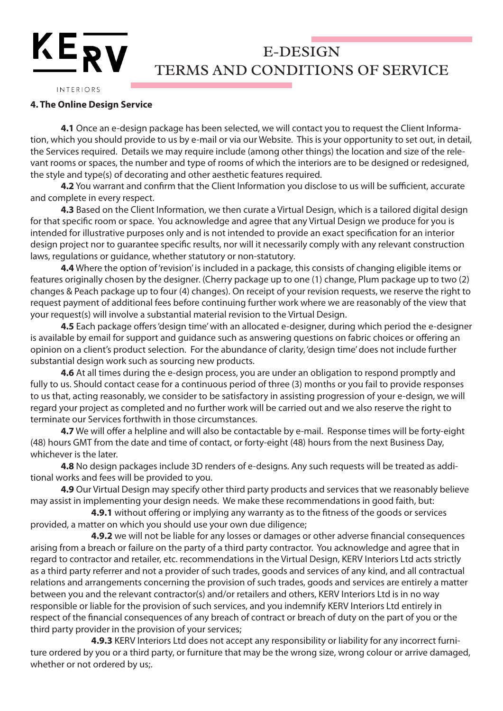## $KE_{\overline{RV}}$ E-DESIGN TERMS AND CONDITIONS OF SERVICE

#### INTERIORS

#### **4. The Online Design Service**

**4.1** Once an e-design package has been selected, we will contact you to request the Client Information, which you should provide to us by e-mail or via our Website. This is your opportunity to set out, in detail, the Services required. Details we may require include (among other things) the location and size of the relevant rooms or spaces, the number and type of rooms of which the interiors are to be designed or redesigned, the style and type(s) of decorating and other aesthetic features required.

**4.2** You warrant and confirm that the Client Information you disclose to us will be sufficient, accurate and complete in every respect.

**4.3** Based on the Client Information, we then curate a Virtual Design, which is a tailored digital design for that specific room or space. You acknowledge and agree that any Virtual Design we produce for you is intended for illustrative purposes only and is not intended to provide an exact specification for an interior design project nor to guarantee specific results, nor will it necessarily comply with any relevant construction laws, regulations or guidance, whether statutory or non-statutory.

**4.4** Where the option of 'revision' is included in a package, this consists of changing eligible items or features originally chosen by the designer. (Cherry package up to one (1) change, Plum package up to two (2) changes & Peach package up to four (4) changes). On receipt of your revision requests, we reserve the right to request payment of additional fees before continuing further work where we are reasonably of the view that your request(s) will involve a substantial material revision to the Virtual Design.

**4.5** Each package offers 'design time' with an allocated e-designer, during which period the e-designer is available by email for support and guidance such as answering questions on fabric choices or offering an opinion on a client's product selection. For the abundance of clarity, 'design time' does not include further substantial design work such as sourcing new products.

**4.6** At all times during the e-design process, you are under an obligation to respond promptly and fully to us. Should contact cease for a continuous period of three (3) months or you fail to provide responses to us that, acting reasonably, we consider to be satisfactory in assisting progression of your e-design, we will regard your project as completed and no further work will be carried out and we also reserve the right to terminate our Services forthwith in those circumstances.

**4.7** We will offer a helpline and will also be contactable by e-mail. Response times will be forty-eight (48) hours GMT from the date and time of contact, or forty-eight (48) hours from the next Business Day, whichever is the later.

**4.8** No design packages include 3D renders of e-designs. Any such requests will be treated as additional works and fees will be provided to you.

**4.9** Our Virtual Design may specify other third party products and services that we reasonably believe may assist in implementing your design needs. We make these recommendations in good faith, but:

 **4.9.1** without offering or implying any warranty as to the fitness of the goods or services provided, a matter on which you should use your own due diligence;

 **4.9.2** we will not be liable for any losses or damages or other adverse financial consequences arising from a breach or failure on the party of a third party contractor. You acknowledge and agree that in regard to contractor and retailer, etc. recommendations in the Virtual Design, KERV Interiors Ltd acts strictly as a third party referrer and not a provider of such trades, goods and services of any kind, and all contractual relations and arrangements concerning the provision of such trades, goods and services are entirely a matter between you and the relevant contractor(s) and/or retailers and others, KERV Interiors Ltd is in no way responsible or liable for the provision of such services, and you indemnify KERV Interiors Ltd entirely in respect of the financial consequences of any breach of contract or breach of duty on the part of you or the third party provider in the provision of your services;

 **4.9.3** KERV Interiors Ltd does not accept any responsibility or liability for any incorrect furniture ordered by you or a third party, or furniture that may be the wrong size, wrong colour or arrive damaged, whether or not ordered by us;.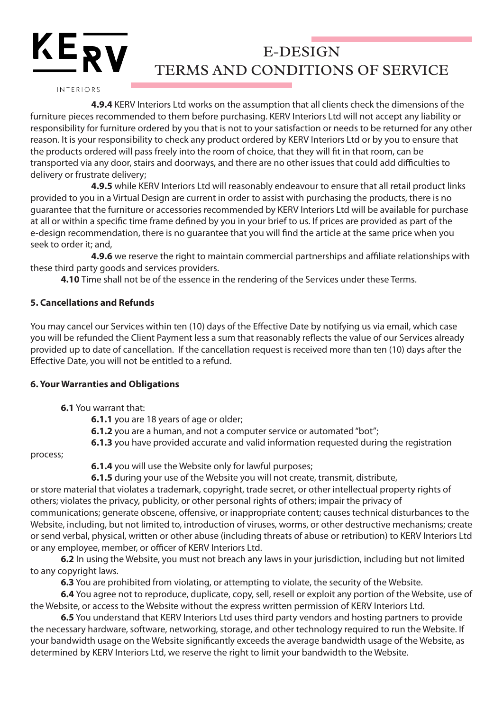INTERIORS

 $KE_{\overline{RV}}$ 

 **4.9.4** KERV Interiors Ltd works on the assumption that all clients check the dimensions of the furniture pieces recommended to them before purchasing. KERV Interiors Ltd will not accept any liability or responsibility for furniture ordered by you that is not to your satisfaction or needs to be returned for any other reason. It is your responsibility to check any product ordered by KERV Interiors Ltd or by you to ensure that the products ordered will pass freely into the room of choice, that they will fit in that room, can be transported via any door, stairs and doorways, and there are no other issues that could add difficulties to delivery or frustrate delivery;

**4.9.5** while KERV Interiors Ltd will reasonably endeavour to ensure that all retail product links provided to you in a Virtual Design are current in order to assist with purchasing the products, there is no guarantee that the furniture or accessories recommended by KERV Interiors Ltd will be available for purchase at all or within a specific time frame defined by you in your brief to us. If prices are provided as part of the e-design recommendation, there is no guarantee that you will find the article at the same price when you seek to order it; and,

 **4.9.6** we reserve the right to maintain commercial partnerships and affiliate relationships with these third party goods and services providers.

**4.10** Time shall not be of the essence in the rendering of the Services under these Terms.

## **5. Cancellations and Refunds**

You may cancel our Services within ten (10) days of the Effective Date by notifying us via email, which case you will be refunded the Client Payment less a sum that reasonably reflects the value of our Services already provided up to date of cancellation. If the cancellation request is received more than ten (10) days after the Effective Date, you will not be entitled to a refund.

## **6. Your Warranties and Obligations**

- **6.1** You warrant that:
	- **6.1.1** you are 18 years of age or older;
	- **6.1.2** you are a human, and not a computer service or automated "bot";
	- **6.1.3** you have provided accurate and valid information requested during the registration

### process;

**6.1.4** you will use the Website only for lawful purposes;

**6.1.5** during your use of the Website you will not create, transmit, distribute,

or store material that violates a trademark, copyright, trade secret, or other intellectual property rights of others; violates the privacy, publicity, or other personal rights of others; impair the privacy of communications; generate obscene, offensive, or inappropriate content; causes technical disturbances to the Website, including, but not limited to, introduction of viruses, worms, or other destructive mechanisms; create or send verbal, physical, written or other abuse (including threats of abuse or retribution) to KERV Interiors Ltd or any employee, member, or officer of KERV Interiors Ltd.

**6.2** In using the Website, you must not breach any laws in your jurisdiction, including but not limited to any copyright laws.

**6.3** You are prohibited from violating, or attempting to violate, the security of the Website.

**6.4** You agree not to reproduce, duplicate, copy, sell, resell or exploit any portion of the Website, use of the Website, or access to the Website without the express written permission of KERV Interiors Ltd.

**6.5** You understand that KERV Interiors Ltd uses third party vendors and hosting partners to provide the necessary hardware, software, networking, storage, and other technology required to run the Website. If your bandwidth usage on the Website significantly exceeds the average bandwidth usage of the Website, as determined by KERV Interiors Ltd, we reserve the right to limit your bandwidth to the Website.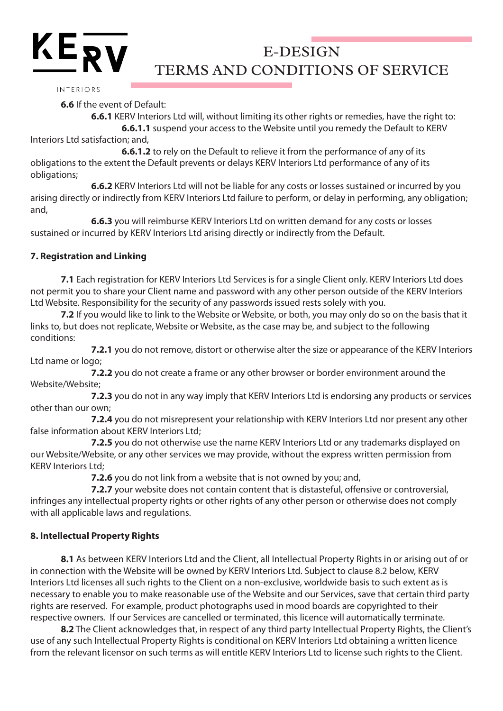## INTERIORS

 $KE_{\overline{RV}}$ 

**6.6** If the event of Default:

 **6.6.1** KERV Interiors Ltd will, without limiting its other rights or remedies, have the right to: **6.6.1.1** suspend your access to the Website until you remedy the Default to KERV

Interiors Ltd satisfaction; and,

**6.6.1.2** to rely on the Default to relieve it from the performance of any of its obligations to the extent the Default prevents or delays KERV Interiors Ltd performance of any of its obligations;

 **6.6.2** KERV Interiors Ltd will not be liable for any costs or losses sustained or incurred by you arising directly or indirectly from KERV Interiors Ltd failure to perform, or delay in performing, any obligation; and,

 **6.6.3** you will reimburse KERV Interiors Ltd on written demand for any costs or losses sustained or incurred by KERV Interiors Ltd arising directly or indirectly from the Default.

## **7. Registration and Linking**

**7.1** Each registration for KERV Interiors Ltd Services is for a single Client only. KERV Interiors Ltd does not permit you to share your Client name and password with any other person outside of the KERV Interiors Ltd Website. Responsibility for the security of any passwords issued rests solely with you.

**7.2** If you would like to link to the Website or Website, or both, you may only do so on the basis that it links to, but does not replicate, Website or Website, as the case may be, and subject to the following conditions:

 **7.2.1** you do not remove, distort or otherwise alter the size or appearance of the KERV Interiors Ltd name or logo;

 **7.2.2** you do not create a frame or any other browser or border environment around the Website/Website;

 **7.2.3** you do not in any way imply that KERV Interiors Ltd is endorsing any products or services other than our own;

 **7.2.4** you do not misrepresent your relationship with KERV Interiors Ltd nor present any other false information about KERV Interiors Ltd;

 **7.2.5** you do not otherwise use the name KERV Interiors Ltd or any trademarks displayed on our Website/Website, or any other services we may provide, without the express written permission from KERV Interiors Ltd;

**7.2.6** you do not link from a website that is not owned by you; and,

 **7.2.7** your website does not contain content that is distasteful, offensive or controversial, infringes any intellectual property rights or other rights of any other person or otherwise does not comply with all applicable laws and regulations.

## **8. Intellectual Property Rights**

**8.1** As between KERV Interiors Ltd and the Client, all Intellectual Property Rights in or arising out of or in connection with the Website will be owned by KERV Interiors Ltd. Subject to clause 8.2 below, KERV Interiors Ltd licenses all such rights to the Client on a non-exclusive, worldwide basis to such extent as is necessary to enable you to make reasonable use of the Website and our Services, save that certain third party rights are reserved. For example, product photographs used in mood boards are copyrighted to their respective owners. If our Services are cancelled or terminated, this licence will automatically terminate.

**8.2** The Client acknowledges that, in respect of any third party Intellectual Property Rights, the Client's use of any such Intellectual Property Rights is conditional on KERV Interiors Ltd obtaining a written licence from the relevant licensor on such terms as will entitle KERV Interiors Ltd to license such rights to the Client.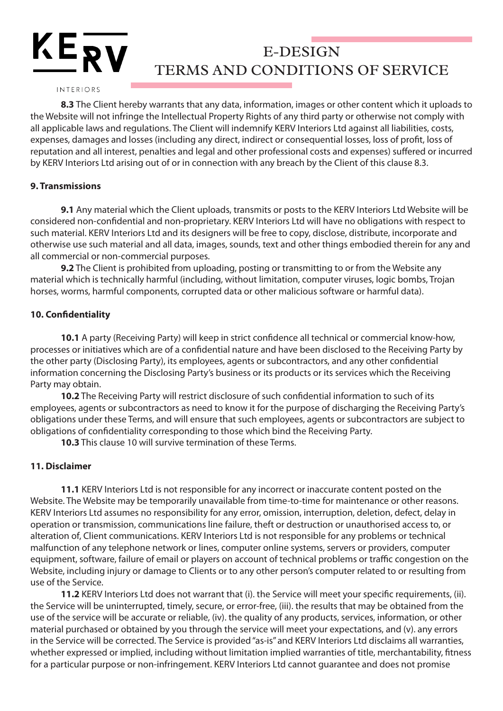## INTERIORS

 $KE_{\overline{RV}}$ 

**8.3** The Client hereby warrants that any data, information, images or other content which it uploads to the Website will not infringe the Intellectual Property Rights of any third party or otherwise not comply with all applicable laws and regulations. The Client will indemnify KERV Interiors Ltd against all liabilities, costs, expenses, damages and losses (including any direct, indirect or consequential losses, loss of profit, loss of reputation and all interest, penalties and legal and other professional costs and expenses) suffered or incurred by KERV Interiors Ltd arising out of or in connection with any breach by the Client of this clause 8.3.

### **9. Transmissions**

**9.1** Any material which the Client uploads, transmits or posts to the KERV Interiors Ltd Website will be considered non-confidential and non-proprietary. KERV Interiors Ltd will have no obligations with respect to such material. KERV Interiors Ltd and its designers will be free to copy, disclose, distribute, incorporate and otherwise use such material and all data, images, sounds, text and other things embodied therein for any and all commercial or non-commercial purposes.

**9.2** The Client is prohibited from uploading, posting or transmitting to or from the Website any material which is technically harmful (including, without limitation, computer viruses, logic bombs, Trojan horses, worms, harmful components, corrupted data or other malicious software or harmful data).

### **10. Confidentiality**

**10.1** A party (Receiving Party) will keep in strict confidence all technical or commercial know-how, processes or initiatives which are of a confidential nature and have been disclosed to the Receiving Party by the other party (Disclosing Party), its employees, agents or subcontractors, and any other confidential information concerning the Disclosing Party's business or its products or its services which the Receiving Party may obtain.

**10.2** The Receiving Party will restrict disclosure of such confidential information to such of its employees, agents or subcontractors as need to know it for the purpose of discharging the Receiving Party's obligations under these Terms, and will ensure that such employees, agents or subcontractors are subject to obligations of confidentiality corresponding to those which bind the Receiving Party.

**10.3** This clause 10 will survive termination of these Terms.

## **11. Disclaimer**

**11.1** KERV Interiors Ltd is not responsible for any incorrect or inaccurate content posted on the Website. The Website may be temporarily unavailable from time-to-time for maintenance or other reasons. KERV Interiors Ltd assumes no responsibility for any error, omission, interruption, deletion, defect, delay in operation or transmission, communications line failure, theft or destruction or unauthorised access to, or alteration of, Client communications. KERV Interiors Ltd is not responsible for any problems or technical malfunction of any telephone network or lines, computer online systems, servers or providers, computer equipment, software, failure of email or players on account of technical problems or traffic congestion on the Website, including injury or damage to Clients or to any other person's computer related to or resulting from use of the Service.

**11.2** KERV Interiors Ltd does not warrant that (i). the Service will meet your specific requirements, (ii). the Service will be uninterrupted, timely, secure, or error-free, (iii). the results that may be obtained from the use of the service will be accurate or reliable, (iv). the quality of any products, services, information, or other material purchased or obtained by you through the service will meet your expectations, and (v). any errors in the Service will be corrected. The Service is provided "as-is" and KERV Interiors Ltd disclaims all warranties, whether expressed or implied, including without limitation implied warranties of title, merchantability, fitness for a particular purpose or non-infringement. KERV Interiors Ltd cannot guarantee and does not promise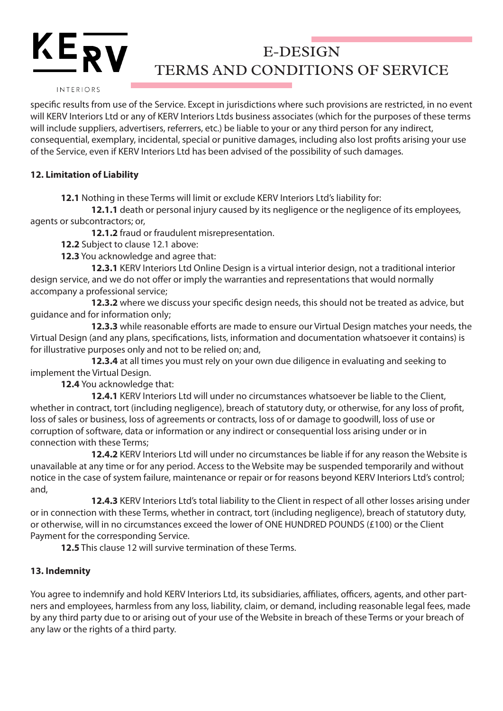#### INTERIORS

KERV

specific results from use of the Service. Except in jurisdictions where such provisions are restricted, in no event will KERV Interiors Ltd or any of KERV Interiors Ltds business associates (which for the purposes of these terms will include suppliers, advertisers, referrers, etc.) be liable to your or any third person for any indirect, consequential, exemplary, incidental, special or punitive damages, including also lost profits arising your use of the Service, even if KERV Interiors Ltd has been advised of the possibility of such damages.

## **12. Limitation of Liability**

**12.1** Nothing in these Terms will limit or exclude KERV Interiors Ltd's liability for:

 **12.1.1** death or personal injury caused by its negligence or the negligence of its employees, agents or subcontractors; or,

**12.1.2** fraud or fraudulent misrepresentation.

**12.2** Subject to clause 12.1 above:

**12.3** You acknowledge and agree that:

 **12.3.1** KERV Interiors Ltd Online Design is a virtual interior design, not a traditional interior design service, and we do not offer or imply the warranties and representations that would normally accompany a professional service;

 **12.3.2** where we discuss your specific design needs, this should not be treated as advice, but guidance and for information only;

 **12.3.3** while reasonable efforts are made to ensure our Virtual Design matches your needs, the Virtual Design (and any plans, specifications, lists, information and documentation whatsoever it contains) is for illustrative purposes only and not to be relied on; and,

 **12.3.4** at all times you must rely on your own due diligence in evaluating and seeking to implement the Virtual Design.

**12.4** You acknowledge that:

 **12.4.1** KERV Interiors Ltd will under no circumstances whatsoever be liable to the Client, whether in contract, tort (including negligence), breach of statutory duty, or otherwise, for any loss of profit, loss of sales or business, loss of agreements or contracts, loss of or damage to goodwill, loss of use or corruption of software, data or information or any indirect or consequential loss arising under or in connection with these Terms;

 **12.4.2** KERV Interiors Ltd will under no circumstances be liable if for any reason the Website is unavailable at any time or for any period. Access to the Website may be suspended temporarily and without notice in the case of system failure, maintenance or repair or for reasons beyond KERV Interiors Ltd's control; and,

 **12.4.3** KERV Interiors Ltd's total liability to the Client in respect of all other losses arising under or in connection with these Terms, whether in contract, tort (including negligence), breach of statutory duty, or otherwise, will in no circumstances exceed the lower of ONE HUNDRED POUNDS (£100) or the Client Payment for the corresponding Service.

**12.5** This clause 12 will survive termination of these Terms.

## **13. Indemnity**

You agree to indemnify and hold KERV Interiors Ltd, its subsidiaries, affiliates, officers, agents, and other partners and employees, harmless from any loss, liability, claim, or demand, including reasonable legal fees, made by any third party due to or arising out of your use of the Website in breach of these Terms or your breach of any law or the rights of a third party.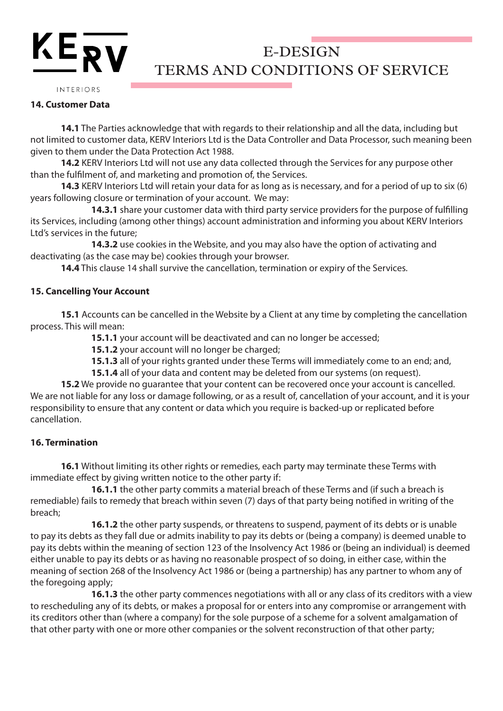#### INTERIORS

 $KE_{\overline{RV}}$ 

### **14. Customer Data**

**14.1** The Parties acknowledge that with regards to their relationship and all the data, including but not limited to customer data, KERV Interiors Ltd is the Data Controller and Data Processor, such meaning been given to them under the Data Protection Act 1988.

**14.2** KERV Interiors Ltd will not use any data collected through the Services for any purpose other than the fulfilment of, and marketing and promotion of, the Services.

**14.3** KERV Interiors Ltd will retain your data for as long as is necessary, and for a period of up to six (6) years following closure or termination of your account. We may:

 **14.3.1** share your customer data with third party service providers for the purpose of fulfilling its Services, including (among other things) account administration and informing you about KERV Interiors Ltd's services in the future;

 **14.3.2** use cookies in the Website, and you may also have the option of activating and deactivating (as the case may be) cookies through your browser.

**14.4** This clause 14 shall survive the cancellation, termination or expiry of the Services.

## **15. Cancelling Your Account**

**15.1** Accounts can be cancelled in the Website by a Client at any time by completing the cancellation process. This will mean:

**15.1.1** your account will be deactivated and can no longer be accessed;

**15.1.2** your account will no longer be charged;

**15.1.3** all of your rights granted under these Terms will immediately come to an end; and,

**15.1.4** all of your data and content may be deleted from our systems (on request).

**15.2** We provide no guarantee that your content can be recovered once your account is cancelled. We are not liable for any loss or damage following, or as a result of, cancellation of your account, and it is your responsibility to ensure that any content or data which you require is backed-up or replicated before cancellation.

### **16. Termination**

**16.1** Without limiting its other rights or remedies, each party may terminate these Terms with immediate effect by giving written notice to the other party if:

 **16.1.1** the other party commits a material breach of these Terms and (if such a breach is remediable) fails to remedy that breach within seven (7) days of that party being notified in writing of the breach;

 **16.1.2** the other party suspends, or threatens to suspend, payment of its debts or is unable to pay its debts as they fall due or admits inability to pay its debts or (being a company) is deemed unable to pay its debts within the meaning of section 123 of the Insolvency Act 1986 or (being an individual) is deemed either unable to pay its debts or as having no reasonable prospect of so doing, in either case, within the meaning of section 268 of the Insolvency Act 1986 or (being a partnership) has any partner to whom any of the foregoing apply;

 **16.1.3** the other party commences negotiations with all or any class of its creditors with a view to rescheduling any of its debts, or makes a proposal for or enters into any compromise or arrangement with its creditors other than (where a company) for the sole purpose of a scheme for a solvent amalgamation of that other party with one or more other companies or the solvent reconstruction of that other party;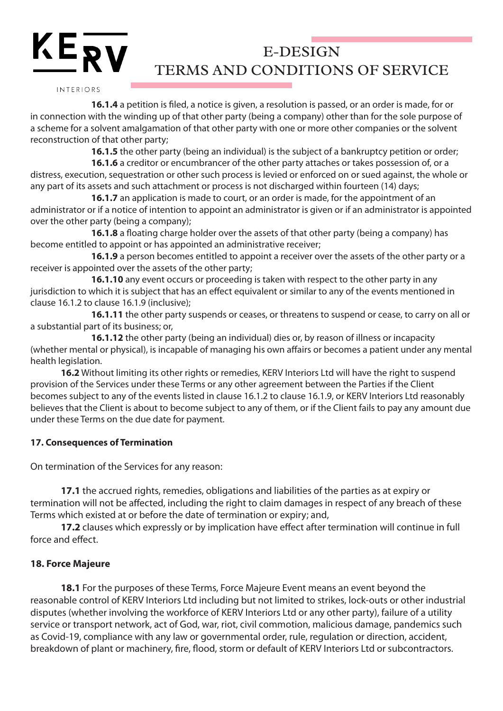INTERIORS

 **16.1.4** a petition is filed, a notice is given, a resolution is passed, or an order is made, for or in connection with the winding up of that other party (being a company) other than for the sole purpose of a scheme for a solvent amalgamation of that other party with one or more other companies or the solvent reconstruction of that other party;

**16.1.5** the other party (being an individual) is the subject of a bankruptcy petition or order;

 **16.1.6** a creditor or encumbrancer of the other party attaches or takes possession of, or a distress, execution, sequestration or other such process is levied or enforced on or sued against, the whole or any part of its assets and such attachment or process is not discharged within fourteen (14) days;

**16.1.7** an application is made to court, or an order is made, for the appointment of an administrator or if a notice of intention to appoint an administrator is given or if an administrator is appointed over the other party (being a company);

 **16.1.8** a floating charge holder over the assets of that other party (being a company) has become entitled to appoint or has appointed an administrative receiver;

 **16.1.9** a person becomes entitled to appoint a receiver over the assets of the other party or a receiver is appointed over the assets of the other party;

 **16.1.10** any event occurs or proceeding is taken with respect to the other party in any jurisdiction to which it is subject that has an effect equivalent or similar to any of the events mentioned in clause 16.1.2 to clause 16.1.9 (inclusive);

 **16.1.11** the other party suspends or ceases, or threatens to suspend or cease, to carry on all or a substantial part of its business; or,

 **16.1.12** the other party (being an individual) dies or, by reason of illness or incapacity (whether mental or physical), is incapable of managing his own affairs or becomes a patient under any mental health legislation.

**16.2** Without limiting its other rights or remedies, KERV Interiors Ltd will have the right to suspend provision of the Services under these Terms or any other agreement between the Parties if the Client becomes subject to any of the events listed in clause 16.1.2 to clause 16.1.9, or KERV Interiors Ltd reasonably believes that the Client is about to become subject to any of them, or if the Client fails to pay any amount due under these Terms on the due date for payment.

## **17. Consequences of Termination**

On termination of the Services for any reason:

**17.1** the accrued rights, remedies, obligations and liabilities of the parties as at expiry or termination will not be affected, including the right to claim damages in respect of any breach of these Terms which existed at or before the date of termination or expiry; and,

**17.2** clauses which expressly or by implication have effect after termination will continue in full force and effect.

## **18. Force Majeure**

**18.1** For the purposes of these Terms, Force Majeure Event means an event beyond the reasonable control of KERV Interiors Ltd including but not limited to strikes, lock-outs or other industrial disputes (whether involving the workforce of KERV Interiors Ltd or any other party), failure of a utility service or transport network, act of God, war, riot, civil commotion, malicious damage, pandemics such as Covid-19, compliance with any law or governmental order, rule, regulation or direction, accident, breakdown of plant or machinery, fire, flood, storm or default of KERV Interiors Ltd or subcontractors.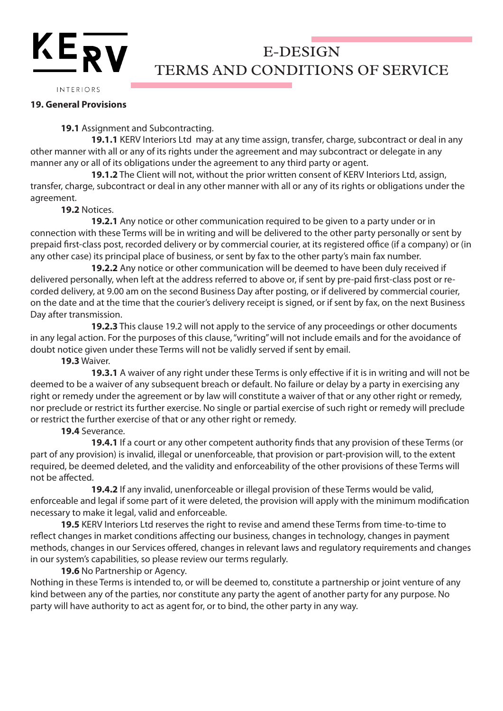INTERIORS

 $KE_{\bf RV}$ 

#### **19. General Provisions**

## **19.1** Assignment and Subcontracting.

 **19.1.1** KERV Interiors Ltd may at any time assign, transfer, charge, subcontract or deal in any other manner with all or any of its rights under the agreement and may subcontract or delegate in any manner any or all of its obligations under the agreement to any third party or agent.

 **19.1.2** The Client will not, without the prior written consent of KERV Interiors Ltd, assign, transfer, charge, subcontract or deal in any other manner with all or any of its rights or obligations under the agreement.

**19.2** Notices.

 **19.2.1** Any notice or other communication required to be given to a party under or in connection with these Terms will be in writing and will be delivered to the other party personally or sent by prepaid first-class post, recorded delivery or by commercial courier, at its registered office (if a company) or (in any other case) its principal place of business, or sent by fax to the other party's main fax number.

 **19.2.2** Any notice or other communication will be deemed to have been duly received if delivered personally, when left at the address referred to above or, if sent by pre-paid first-class post or recorded delivery, at 9.00 am on the second Business Day after posting, or if delivered by commercial courier, on the date and at the time that the courier's delivery receipt is signed, or if sent by fax, on the next Business Day after transmission.

 **19.2.3** This clause 19.2 will not apply to the service of any proceedings or other documents in any legal action. For the purposes of this clause, "writing" will not include emails and for the avoidance of doubt notice given under these Terms will not be validly served if sent by email.

**19.3** Waiver.

 **19.3.1** A waiver of any right under these Terms is only effective if it is in writing and will not be deemed to be a waiver of any subsequent breach or default. No failure or delay by a party in exercising any right or remedy under the agreement or by law will constitute a waiver of that or any other right or remedy, nor preclude or restrict its further exercise. No single or partial exercise of such right or remedy will preclude or restrict the further exercise of that or any other right or remedy.

## **19.4** Severance.

 **19.4.1** If a court or any other competent authority finds that any provision of these Terms (or part of any provision) is invalid, illegal or unenforceable, that provision or part-provision will, to the extent required, be deemed deleted, and the validity and enforceability of the other provisions of these Terms will not be affected.

 **19.4.2** If any invalid, unenforceable or illegal provision of these Terms would be valid, enforceable and legal if some part of it were deleted, the provision will apply with the minimum modification necessary to make it legal, valid and enforceable.

**19.5** KERV Interiors Ltd reserves the right to revise and amend these Terms from time-to-time to reflect changes in market conditions affecting our business, changes in technology, changes in payment methods, changes in our Services offered, changes in relevant laws and regulatory requirements and changes in our system's capabilities, so please review our terms regularly.

#### **19.6** No Partnership or Agency.

Nothing in these Terms is intended to, or will be deemed to, constitute a partnership or joint venture of any kind between any of the parties, nor constitute any party the agent of another party for any purpose. No party will have authority to act as agent for, or to bind, the other party in any way.